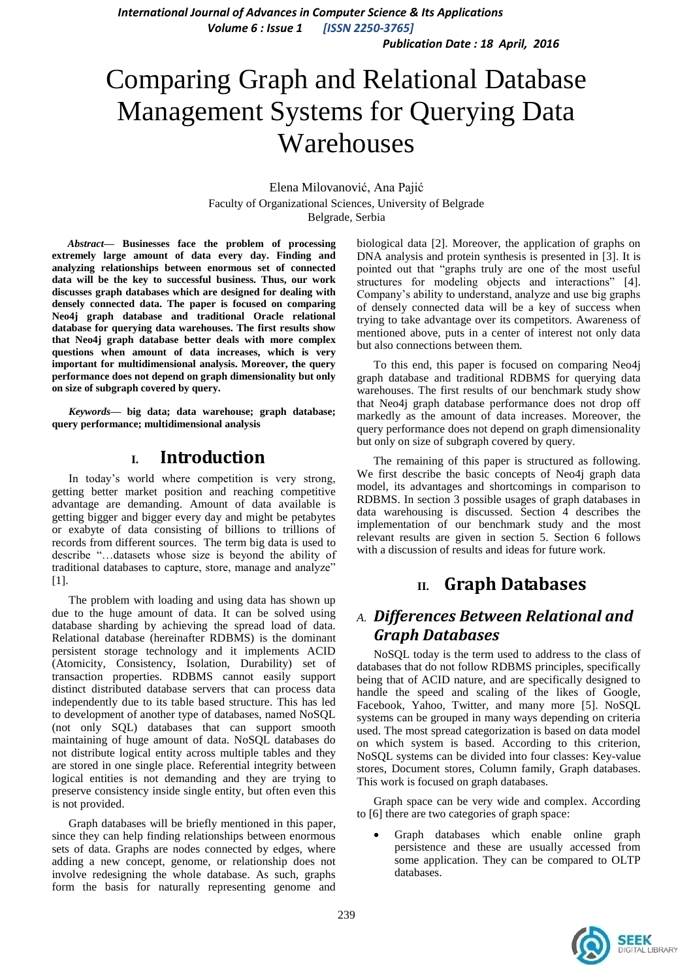*Publication Date : 18 April, 2016*

# Comparing Graph and Relational Database Management Systems for Querying Data Warehouses

Elena Milovanović, Ana Pajić Faculty of Organizational Sciences, University of Belgrade Belgrade, Serbia

*Abstract***— Businesses face the problem of processing extremely large amount of data every day. Finding and analyzing relationships between enormous set of connected data will be the key to successful business. Thus, our work discusses graph databases which are designed for dealing with densely connected data. The paper is focused on comparing Neo4j graph database and traditional Oracle relational database for querying data warehouses. The first results show that Neo4j graph database better deals with more complex questions when amount of data increases, which is very important for multidimensional analysis. Moreover, the query performance does not depend on graph dimensionality but only on size of subgraph covered by query.**

*Keywords—* **big data; data warehouse; graph database; query performance; multidimensional analysis**

# **I. Introduction**

In today's world where competition is very strong, getting better market position and reaching competitive advantage are demanding. Amount of data available is getting bigger and bigger every day and might be petabytes or exabyte of data consisting of billions to trillions of records from different sources. The term big data is used to describe "…datasets whose size is beyond the ability of traditional databases to capture, store, manage and analyze" [1].

The problem with loading and using data has shown up due to the huge amount of data. It can be solved using database sharding by achieving the spread load of data. Relational database (hereinafter RDBMS) is the dominant persistent storage technology and it implements ACID (Atomicity, Consistency, Isolation, Durability) set of transaction properties. RDBMS cannot easily support distinct distributed database servers that can process data independently due to its table based structure. This has led to development of another type of databases, named NoSQL (not only SQL) databases that can support smooth maintaining of huge amount of data. NoSQL databases do not distribute logical entity across multiple tables and they are stored in one single place. Referential integrity between logical entities is not demanding and they are trying to preserve consistency inside single entity, but often even this is not provided.

Graph databases will be briefly mentioned in this paper, since they can help finding relationships between enormous sets of data. Graphs are nodes connected by edges, where adding a new concept, genome, or relationship does not involve redesigning the whole database. As such, graphs form the basis for naturally representing genome and

biological data [2]. Moreover, the application of graphs on DNA analysis and protein synthesis is presented in [3]. It is pointed out that "graphs truly are one of the most useful structures for modeling objects and interactions" [4]. Company's ability to understand, analyze and use big graphs of densely connected data will be a key of success when trying to take advantage over its competitors. Awareness of mentioned above, puts in a center of interest not only data but also connections between them.

To this end, this paper is focused on comparing Neo4j graph database and traditional RDBMS for querying data warehouses. The first results of our benchmark study show that Neo4j graph database performance does not drop off markedly as the amount of data increases. Moreover, the query performance does not depend on graph dimensionality but only on size of subgraph covered by query.

The remaining of this paper is structured as following. We first describe the basic concepts of Neo4j graph data model, its advantages and shortcomings in comparison to RDBMS. In section 3 possible usages of graph databases in data warehousing is discussed. Section 4 describes the implementation of our benchmark study and the most relevant results are given in section 5. Section 6 follows with a discussion of results and ideas for future work.

# **II. Graph Databases**

# *A. Differences Between Relational and Graph Databases*

NoSQL today is the term used to address to the class of databases that do not follow RDBMS principles, specifically being that of ACID nature, and are specifically designed to handle the speed and scaling of the likes of Google, Facebook, Yahoo, Twitter, and many more [5]. NoSQL systems can be grouped in many ways depending on criteria used. The most spread categorization is based on data model on which system is based. According to this criterion, NoSQL systems can be divided into four classes: Key-value stores, Document stores, Column family, Graph databases. This work is focused on graph databases.

Graph space can be very wide and complex. According to [6] there are two categories of graph space:

 Graph databases which enable online graph persistence and these are usually accessed from some application. They can be compared to OLTP databases.

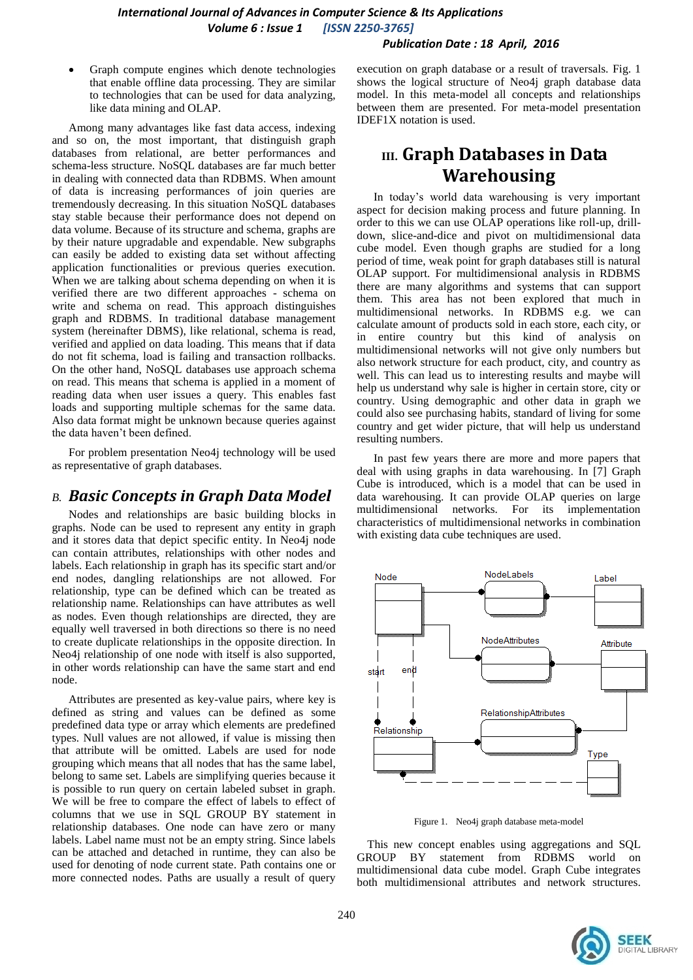#### *Publication Date : 18 April, 2016*

 Graph compute engines which denote technologies that enable offline data processing. They are similar to technologies that can be used for data analyzing, like data mining and OLAP.

Among many advantages like fast data access, indexing and so on, the most important, that distinguish graph databases from relational, are better performances and schema-less structure. NoSQL databases are far much better in dealing with connected data than RDBMS. When amount of data is increasing performances of join queries are tremendously decreasing. In this situation NoSQL databases stay stable because their performance does not depend on data volume. Because of its structure and schema, graphs are by their nature upgradable and expendable. New subgraphs can easily be added to existing data set without affecting application functionalities or previous queries execution. When we are talking about schema depending on when it is verified there are two different approaches - schema on write and schema on read. This approach distinguishes graph and RDBMS. In traditional database management system (hereinafter DBMS), like relational, schema is read, verified and applied on data loading. This means that if data do not fit schema, load is failing and transaction rollbacks. On the other hand, NoSQL databases use approach schema on read. This means that schema is applied in a moment of reading data when user issues a query. This enables fast loads and supporting multiple schemas for the same data. Also data format might be unknown because queries against the data haven't been defined.

For problem presentation Neo4j technology will be used as representative of graph databases.

## *B. Basic Concepts in Graph Data Model*

Nodes and relationships are basic building blocks in graphs. Node can be used to represent any entity in graph and it stores data that depict specific entity. In Neo4j node can contain attributes, relationships with other nodes and labels. Each relationship in graph has its specific start and/or end nodes, dangling relationships are not allowed. For relationship, type can be defined which can be treated as relationship name. Relationships can have attributes as well as nodes. Even though relationships are directed, they are equally well traversed in both directions so there is no need to create duplicate relationships in the opposite direction. In Neo4j relationship of one node with itself is also supported, in other words relationship can have the same start and end node.

Attributes are presented as key-value pairs, where key is defined as string and values can be defined as some predefined data type or array which elements are predefined types. Null values are not allowed, if value is missing then that attribute will be omitted. Labels are used for node grouping which means that all nodes that has the same label, belong to same set. Labels are simplifying queries because it is possible to run query on certain labeled subset in graph. We will be free to compare the effect of labels to effect of columns that we use in SQL GROUP BY statement in relationship databases. One node can have zero or many labels. Label name must not be an empty string. Since labels can be attached and detached in runtime, they can also be used for denoting of node current state. Path contains one or more connected nodes. Paths are usually a result of query

execution on graph database or a result of traversals. Fig. 1 shows the logical structure of Neo4j graph database data model. In this meta-model all concepts and relationships between them are presented. For meta-model presentation IDEF1X notation is used.

# **III. Graph Databases in Data Warehousing**

In today's world data warehousing is very important aspect for decision making process and future planning. In order to this we can use OLAP operations like roll-up, drilldown, slice-and-dice and pivot on multidimensional data cube model. Even though graphs are studied for a long period of time, weak point for graph databases still is natural OLAP support. For multidimensional analysis in RDBMS there are many algorithms and systems that can support them. This area has not been explored that much in multidimensional networks. In RDBMS e.g. we can calculate amount of products sold in each store, each city, or in entire country but this kind of analysis on multidimensional networks will not give only numbers but also network structure for each product, city, and country as well. This can lead us to interesting results and maybe will help us understand why sale is higher in certain store, city or country. Using demographic and other data in graph we could also see purchasing habits, standard of living for some country and get wider picture, that will help us understand resulting numbers.

In past few years there are more and more papers that deal with using graphs in data warehousing. In [7] Graph Cube is introduced, which is a model that can be used in data warehousing. It can provide OLAP queries on large multidimensional networks. For its implementation characteristics of multidimensional networks in combination with existing data cube techniques are used.



Figure 1. Neo4j graph database meta-model

This new concept enables using aggregations and SQL GROUP BY statement from RDBMS world on multidimensional data cube model. Graph Cube integrates both multidimensional attributes and network structures.

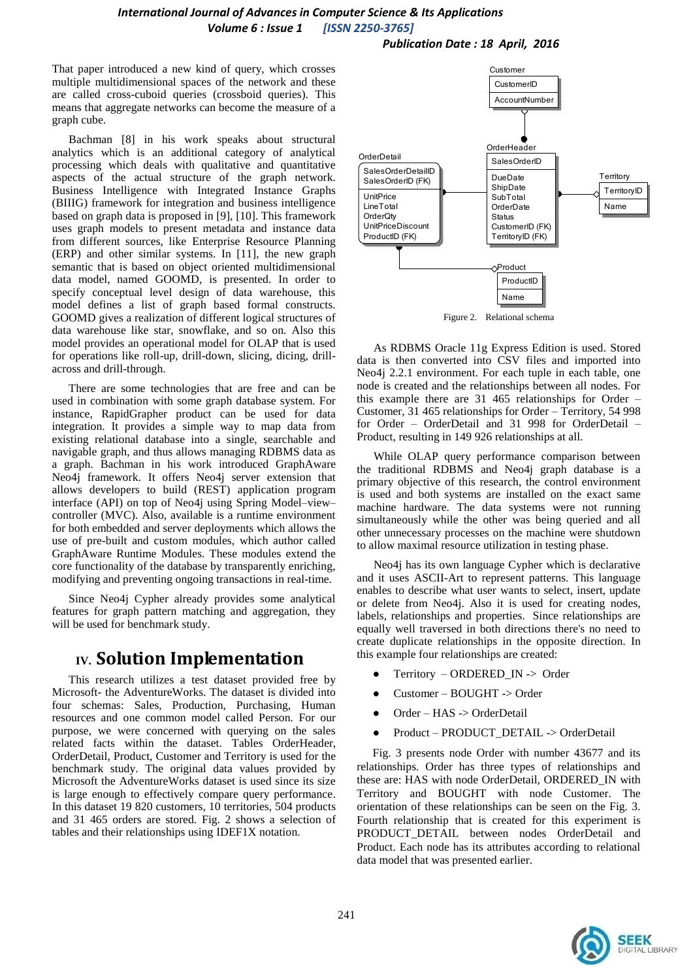*Publication Date : 18 April, 2016*

That paper introduced a new kind of query, which crosses multiple multidimensional spaces of the network and these are called cross-cuboid queries (crossboid queries). This means that aggregate networks can become the measure of a graph cube.

Bachman [8] in his work speaks about structural analytics which is an additional category of analytical processing which deals with qualitative and quantitative aspects of the actual structure of the graph network. Business Intelligence with Integrated Instance Graphs (BIIIG) framework for integration and business intelligence based on graph data is proposed in [9], [10]. This framework uses graph models to present metadata and instance data from different sources, like Enterprise Resource Planning (ERP) and other similar systems. In [11], the new graph semantic that is based on object oriented multidimensional data model, named GOOMD, is presented. In order to specify conceptual level design of data warehouse, this model defines a list of graph based formal constructs. GOOMD gives a realization of different logical structures of data warehouse like star, snowflake, and so on. Also this model provides an operational model for OLAP that is used for operations like roll-up, drill-down, slicing, dicing, drillacross and drill-through.

There are some technologies that are free and can be used in combination with some graph database system. For instance, RapidGrapher product can be used for data integration. It provides a simple way to map data from existing relational database into a single, searchable and navigable graph, and thus allows managing RDBMS data as a graph. Bachman in his work introduced GraphAware Neo4j framework. It offers Neo4j server extension that allows developers to build (REST) application program interface (API) on top of Neo4j using Spring Model–view– controller (MVC). Also, available is a runtime environment for both embedded and server deployments which allows the use of pre-built and custom modules, which author called GraphAware Runtime Modules. These modules extend the core functionality of the database by transparently enriching, modifying and preventing ongoing transactions in real-time.

Since Neo4j Cypher already provides some analytical features for graph pattern matching and aggregation, they will be used for benchmark study.

# **IV. Solution Implementation**

This research utilizes a test dataset provided free by Microsoft- the AdventureWorks. The dataset is divided into four schemas: Sales, Production, Purchasing, Human resources and one common model called Person. For our purpose, we were concerned with querying on the sales related facts within the dataset. Tables OrderHeader, OrderDetail, Product, Customer and Territory is used for the benchmark study. The original data values provided by Microsoft the AdventureWorks dataset is used since its size is large enough to effectively compare query performance. In this dataset 19 820 customers, 10 territories, 504 products and 31 465 orders are stored. Fig. 2 shows a selection of tables and their relationships using IDEF1X notation.



Figure 2. Relational schema

As RDBMS Oracle 11g Express Edition is used. Stored data is then converted into CSV files and imported into Neo4j 2.2.1 environment. For each tuple in each table, one node is created and the relationships between all nodes. For this example there are 31 465 relationships for Order – Customer, 31 465 relationships for Order – Territory, 54 998 for Order – OrderDetail and 31 998 for OrderDetail – Product, resulting in 149 926 relationships at all.

While OLAP query performance comparison between the traditional RDBMS and Neo4j graph database is a primary objective of this research, the control environment is used and both systems are installed on the exact same machine hardware. The data systems were not running simultaneously while the other was being queried and all other unnecessary processes on the machine were shutdown to allow maximal resource utilization in testing phase.

Neo4j has its own language Cypher which is declarative and it uses ASCII-Art to represent patterns. This language enables to describe what user wants to select, insert, update or delete from Neo4j. Also it is used for creating nodes, labels, relationships and properties. Since relationships are equally well traversed in both directions there's no need to create duplicate relationships in the opposite direction. In this example four relationships are created:

- Territory ORDERED\_IN -> Order
- Customer BOUGHT -> Order
- Order HAS -> OrderDetail
- Product PRODUCT\_DETAIL -> OrderDetail

Fig. 3 presents node Order with number 43677 and its relationships. Order has three types of relationships and these are: HAS with node OrderDetail, ORDERED\_IN with Territory and BOUGHT with node Customer. The orientation of these relationships can be seen on the Fig. 3. Fourth relationship that is created for this experiment is PRODUCT DETAIL between nodes OrderDetail and Product. Each node has its attributes according to relational data model that was presented earlier.

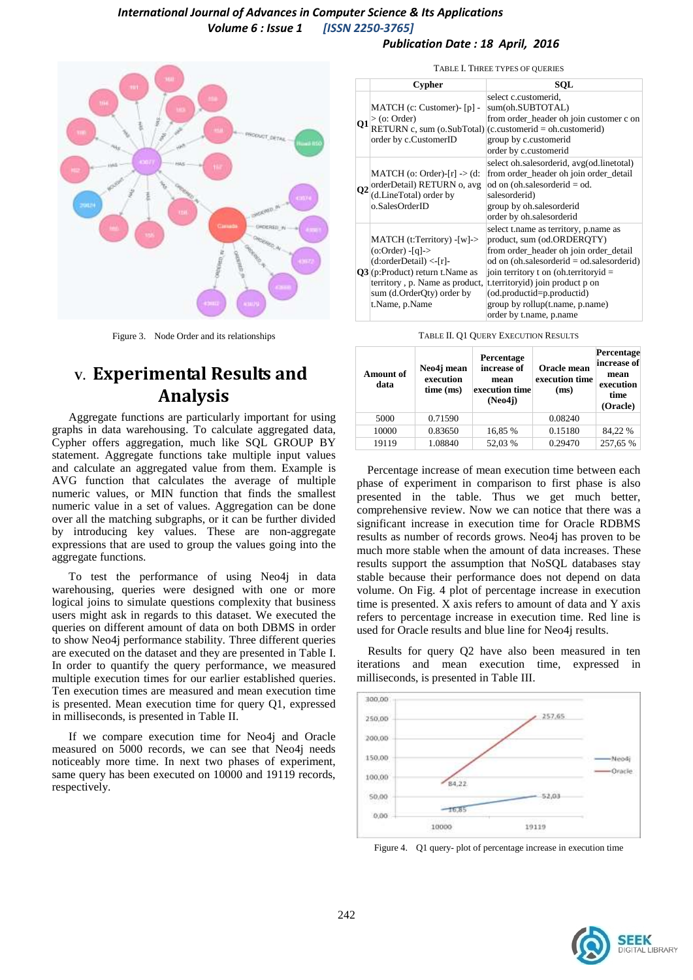#### *Publication Date : 18 April, 2016*



Figure 3. Node Order and its relationships

# **V. Experimental Results and Analysis**

Aggregate functions are particularly important for using graphs in data warehousing. To calculate aggregated data, Cypher offers aggregation, much like SQL GROUP BY statement. Aggregate functions take multiple input values and calculate an aggregated value from them. Example is AVG function that calculates the average of multiple numeric values, or MIN function that finds the smallest numeric value in a set of values. Aggregation can be done over all the matching subgraphs, or it can be further divided by introducing key values. These are non-aggregate expressions that are used to group the values going into the aggregate functions.

To test the performance of using Neo4j in data warehousing, queries were designed with one or more logical joins to simulate questions complexity that business users might ask in regards to this dataset. We executed the queries on different amount of data on both DBMS in order to show Neo4j performance stability. Three different queries are executed on the dataset and they are presented in Table I. In order to quantify the query performance, we measured multiple execution times for our earlier established queries. Ten execution times are measured and mean execution time is presented. Mean execution time for query Q1, expressed in milliseconds, is presented in Table II.

If we compare execution time for Neo4j and Oracle measured on 5000 records, we can see that Neo4j needs noticeably more time. In next two phases of experiment, same query has been executed on 10000 and 19119 records, respectively.

TABLE I. THREE TYPES OF QUERIES

|           | <b>Cypher</b>                                                                                                                                                                                       | SOL                                                                                                                                                                                                                                                                                                                                     |
|-----------|-----------------------------------------------------------------------------------------------------------------------------------------------------------------------------------------------------|-----------------------------------------------------------------------------------------------------------------------------------------------------------------------------------------------------------------------------------------------------------------------------------------------------------------------------------------|
| Q1        | MATCH (c: Customer)- [p] -<br>$>$ (o: Order)<br>order by c.CustomerID                                                                                                                               | select c.customerid,<br>sum(oh.SUBTOTAL)<br>from order_header oh join customer c on<br>$RETURN c, sum (o.SubTotal) (c.customerid = oh.customerid)$<br>group by c.customerid<br>order by c.customerid                                                                                                                                    |
| <b>O2</b> | $MATCH$ (o: Order)- $[r]$ -> (d:<br>orderDetail) RETURN o, avg<br>(d.LineTotal) order by<br>o.SalesOrderID                                                                                          | select oh.salesorderid, avg(od.linetotal)<br>from order_header oh join order_detail<br>od on (oh.salesorderid $=$ od.<br>salesorderid)<br>group by oh.salesorderid<br>order by oh.salesorderid                                                                                                                                          |
|           | MATCH (t:Territory) -[w]-><br>$(o:Order) - [q]$<br>$(d:orderDetails) < -[r]$<br>$Q3$ (p:Product) return t. Name as<br>territory, p. Name as product,<br>sum (d.OrderQty) order by<br>t.Name, p.Name | select t.name as territory, p.name as<br>product, sum (od.ORDERQTY)<br>from order_header oh join order_detail<br>od on (oh.salesorderid $=$ od.salesorderid)<br>join territory t on (oh.territoryid $=$<br>t.territoryid) join product p on<br>(od.productid=p.productid)<br>group by rollup(t.name, p.name)<br>order by t.name, p.name |

| <b>Amount of</b><br>data | Neo4j mean<br>execution<br>time (ms) | Percentage<br>increase of<br>mean<br>execution time<br>(Neo4i) | Oracle mean<br>execution time<br>(ms) | Percentage<br>increase of<br>mean<br>execution<br>time<br>(Oracle) |
|--------------------------|--------------------------------------|----------------------------------------------------------------|---------------------------------------|--------------------------------------------------------------------|
| 5000                     | 0.71590                              |                                                                | 0.08240                               |                                                                    |
| 10000                    | 0.83650                              | 16,85 %                                                        | 0.15180                               | 84.22 %                                                            |
| 19119                    | 1.08840                              | 52,03 %                                                        | 0.29470                               | 257,65 %                                                           |

Percentage increase of mean execution time between each phase of experiment in comparison to first phase is also presented in the table. Thus we get much better, comprehensive review. Now we can notice that there was a significant increase in execution time for Oracle RDBMS results as number of records grows. Neo4j has proven to be much more stable when the amount of data increases. These results support the assumption that NoSQL databases stay stable because their performance does not depend on data volume. On Fig. 4 plot of percentage increase in execution time is presented. X axis refers to amount of data and Y axis refers to percentage increase in execution time. Red line is used for Oracle results and blue line for Neo4j results.

Results for query Q2 have also been measured in ten iterations and mean execution time, expressed in milliseconds, is presented in Table III.



Figure 4. Q1 query- plot of percentage increase in execution time

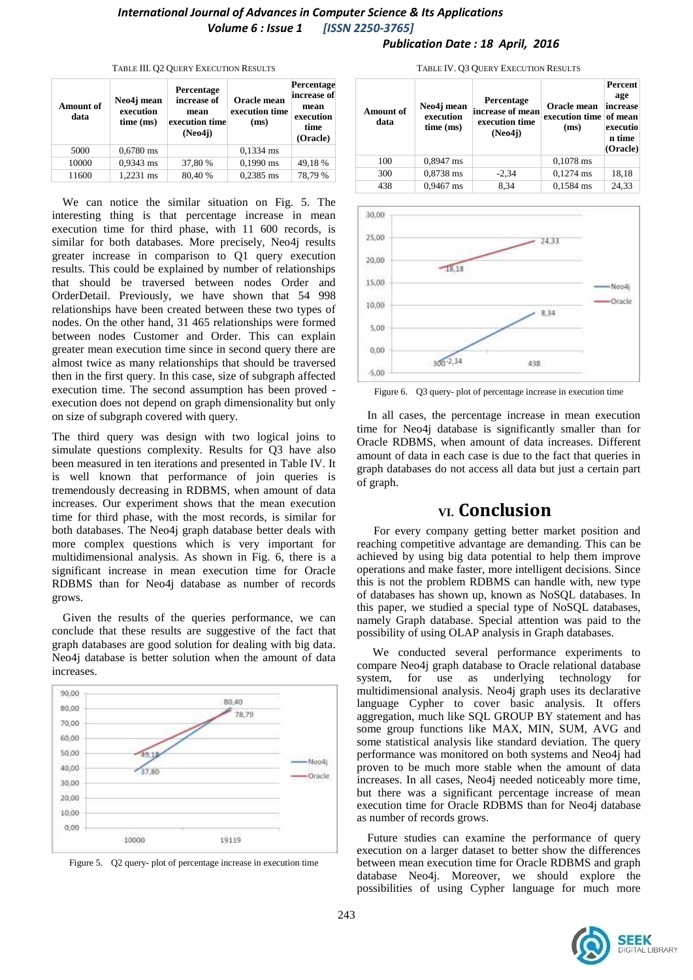#### *Publication Date : 18 April, 2016*

| <b>Amount of</b><br>data | Neo4j mean<br>execution<br>time (ms) | Percentage<br>increase of<br>mean<br>execution time<br>(Neo4i) | Oracle mean<br>execution time<br>(ms) | Percentage<br>increase of<br>mean<br>execution<br>time<br>(Oracle) |
|--------------------------|--------------------------------------|----------------------------------------------------------------|---------------------------------------|--------------------------------------------------------------------|
| 5000                     | $0,6780$ ms                          |                                                                | $0,1334$ ms                           |                                                                    |
| 10000                    | 0,9343 ms                            | 37,80 %                                                        | $0,1990$ ms                           | 49,18 %                                                            |
| 11600                    | 1.2231 ms                            | 80,40%                                                         | $0,2385$ ms                           | 78,79%                                                             |

#### TABLE III. Q2 QUERY EXECUTION RESULTS

We can notice the similar situation on Fig. 5. The interesting thing is that percentage increase in mean execution time for third phase, with 11 600 records, is similar for both databases. More precisely, Neo4j results greater increase in comparison to Q1 query execution results. This could be explained by number of relationships that should be traversed between nodes Order and OrderDetail. Previously, we have shown that 54 998 relationships have been created between these two types of nodes. On the other hand, 31 465 relationships were formed between nodes Customer and Order. This can explain greater mean execution time since in second query there are almost twice as many relationships that should be traversed then in the first query. In this case, size of subgraph affected execution time. The second assumption has been proved execution does not depend on graph dimensionality but only on size of subgraph covered with query.

The third query was design with two logical joins to simulate questions complexity. Results for Q3 have also been measured in ten iterations and presented in Table IV. It is well known that performance of join queries is tremendously decreasing in RDBMS, when amount of data increases. Our experiment shows that the mean execution time for third phase, with the most records, is similar for both databases. The Neo4j graph database better deals with more complex questions which is very important for multidimensional analysis. As shown in Fig. 6, there is a significant increase in mean execution time for Oracle RDBMS than for Neo4j database as number of records grows.

Given the results of the queries performance, we can conclude that these results are suggestive of the fact that graph databases are good solution for dealing with big data. Neo4j database is better solution when the amount of data increases.





|        |            | 11 DEE 11, 02 OCENT ENECOTION RESOLTS |                      |         |
|--------|------------|---------------------------------------|----------------------|---------|
|        |            |                                       |                      | Percent |
| فالمنت | Neo4j mean | Percentage                            | Oracle mean increase | age     |

TABLE IV. 03 OUERY EXECUTION RESULTS



Figure 6. Q3 query- plot of percentage increase in execution time

In all cases, the percentage increase in mean execution time for Neo4j database is significantly smaller than for Oracle RDBMS, when amount of data increases. Different amount of data in each case is due to the fact that queries in graph databases do not access all data but just a certain part of graph.

# **VI. Conclusion**

For every company getting better market position and reaching competitive advantage are demanding. This can be achieved by using big data potential to help them improve operations and make faster, more intelligent decisions. Since this is not the problem RDBMS can handle with, new type of databases has shown up, known as NoSQL databases. In this paper, we studied a special type of NoSQL databases, namely Graph database. Special attention was paid to the possibility of using OLAP analysis in Graph databases.

We conducted several performance experiments to compare Neo4j graph database to Oracle relational database system, for use as underlying technology for multidimensional analysis. Neo4j graph uses its declarative language Cypher to cover basic analysis. It offers aggregation, much like SQL GROUP BY statement and has some group functions like MAX, MIN, SUM, AVG and some statistical analysis like standard deviation. The query performance was monitored on both systems and Neo4j had proven to be much more stable when the amount of data increases. In all cases, Neo4j needed noticeably more time, but there was a significant percentage increase of mean execution time for Oracle RDBMS than for Neo4j database as number of records grows.

Future studies can examine the performance of query execution on a larger dataset to better show the differences between mean execution time for Oracle RDBMS and graph database Neo4j. Moreover, we should explore the possibilities of using Cypher language for much more